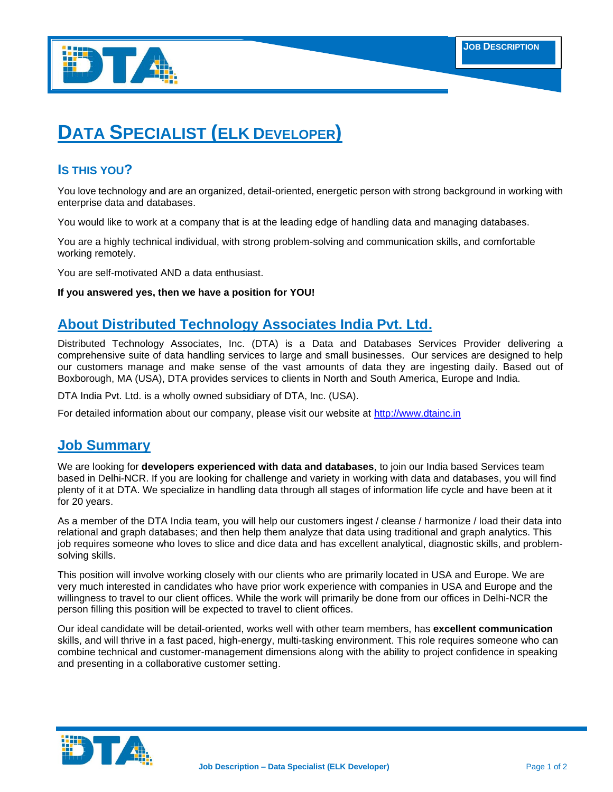

# **DATA SPECIALIST (ELK DEVELOPER)**

## **IS THIS YOU?**

You love technology and are an organized, detail-oriented, energetic person with strong background in working with enterprise data and databases.

You would like to work at a company that is at the leading edge of handling data and managing databases.

You are a highly technical individual, with strong problem-solving and communication skills, and comfortable working remotely.

You are self-motivated AND a data enthusiast.

#### **If you answered yes, then we have a position for YOU!**

# **About Distributed Technology Associates India Pvt. Ltd.**

Distributed Technology Associates, Inc. (DTA) is a Data and Databases Services Provider delivering a comprehensive suite of data handling services to large and small businesses. Our services are designed to help our customers manage and make sense of the vast amounts of data they are ingesting daily. Based out of Boxborough, MA (USA), DTA provides services to clients in North and South America, Europe and India.

DTA India Pvt. Ltd. is a wholly owned subsidiary of DTA, Inc. (USA).

For detailed information about our company, please visit our website at [http://www.dtainc.in](http://www.dtainc.in/)

## **Job Summary**

We are looking for **developers experienced with data and databases**, to join our India based Services team based in Delhi-NCR. If you are looking for challenge and variety in working with data and databases, you will find plenty of it at DTA. We specialize in handling data through all stages of information life cycle and have been at it for 20 years.

As a member of the DTA India team, you will help our customers ingest / cleanse / harmonize / load their data into relational and graph databases; and then help them analyze that data using traditional and graph analytics. This job requires someone who loves to slice and dice data and has excellent analytical, diagnostic skills, and problemsolving skills.

This position will involve working closely with our clients who are primarily located in USA and Europe. We are very much interested in candidates who have prior work experience with companies in USA and Europe and the willingness to travel to our client offices. While the work will primarily be done from our offices in Delhi-NCR the person filling this position will be expected to travel to client offices.

Our ideal candidate will be detail-oriented, works well with other team members, has **excellent communication**  skills, and will thrive in a fast paced, high-energy, multi-tasking environment. This role requires someone who can combine technical and customer-management dimensions along with the ability to project confidence in speaking and presenting in a collaborative customer setting.